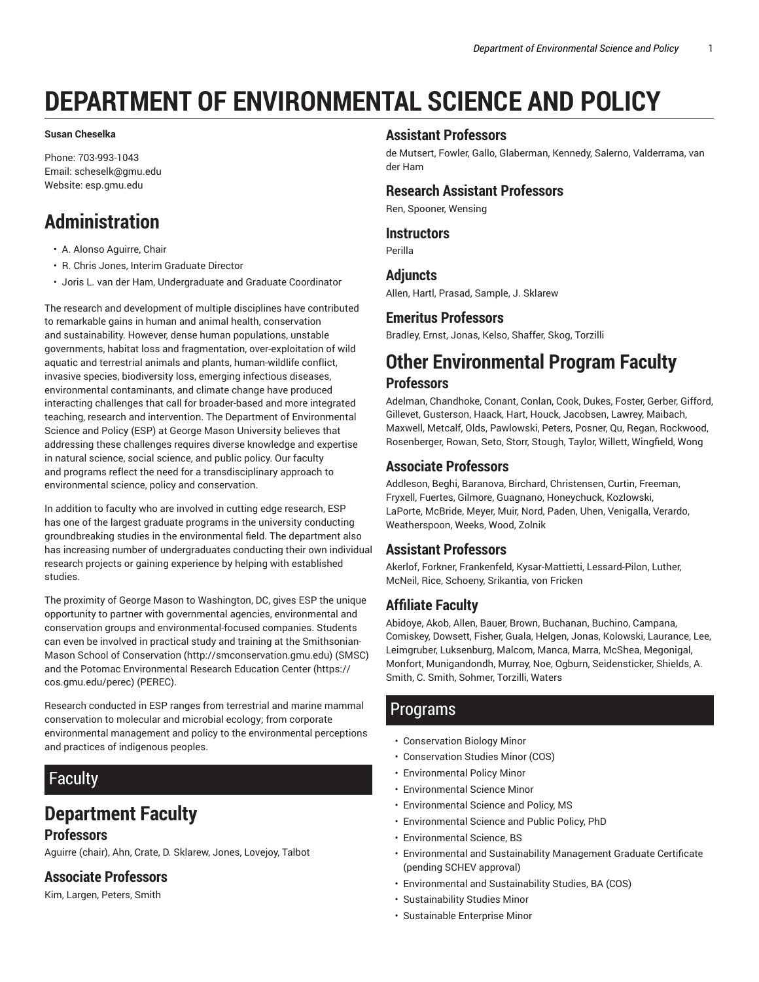# **DEPARTMENT OF ENVIRONMENTAL SCIENCE AND POLICY**

#### **Susan Cheselka**

Phone: 703-993-1043 Email: scheselk@gmu.edu Website: esp.gmu.edu

### **Administration**

- A. Alonso Aguirre, Chair
- R. Chris Jones, Interim Graduate Director
- Joris L. van der Ham, Undergraduate and Graduate Coordinator

The research and development of multiple disciplines have contributed to remarkable gains in human and animal health, conservation and sustainability. However, dense human populations, unstable governments, habitat loss and fragmentation, over-exploitation of wild aquatic and terrestrial animals and plants, human-wildlife conflict, invasive species, biodiversity loss, emerging infectious diseases, environmental contaminants, and climate change have produced interacting challenges that call for broader-based and more integrated teaching, research and intervention. The Department of Environmental Science and Policy (ESP) at George Mason University believes that addressing these challenges requires diverse knowledge and expertise in natural science, social science, and public policy. Our faculty and programs reflect the need for a transdisciplinary approach to environmental science, policy and conservation.

In addition to faculty who are involved in cutting edge research, ESP has one of the largest graduate programs in the university conducting groundbreaking studies in the environmental field. The department also has increasing number of undergraduates conducting their own individual research projects or gaining experience by helping with established studies.

The proximity of George Mason to Washington, DC, gives ESP the unique opportunity to partner with governmental agencies, environmental and conservation groups and environmental-focused companies. Students can even be involved in practical study and training at the Smithsonian-Mason School of Conservation (http://smconservation.gmu.edu) (SMSC) and the Potomac Environmental Research Education Center (https:// cos.gmu.edu/perec) (PEREC).

Research conducted in ESP ranges from terrestrial and marine mammal conservation to molecular and microbial ecology; from corporate environmental management and policy to the environmental perceptions and practices of indigenous peoples.

### Faculty

### **Department Faculty**

#### **Professors**

Aguirre (chair), Ahn, Crate, D. Sklarew, Jones, Lovejoy, Talbot

#### **Associate Professors**

Kim, Largen, Peters, Smith

#### **Assistant Professors**

de Mutsert, Fowler, Gallo, Glaberman, Kennedy, Salerno, Valderrama, van der Ham

#### **Research Assistant Professors**

Ren, Spooner, Wensing

#### **Instructors**

Perilla

#### **Adjuncts**

Allen, Hartl, Prasad, Sample, J. Sklarew

#### **Emeritus Professors**

Bradley, Ernst, Jonas, Kelso, Shaffer, Skog, Torzilli

## **Other Environmental Program Faculty**

#### **Professors**

Adelman, Chandhoke, Conant, Conlan, Cook, Dukes, Foster, Gerber, Gifford, Gillevet, Gusterson, Haack, Hart, Houck, Jacobsen, Lawrey, Maibach, Maxwell, Metcalf, Olds, Pawlowski, Peters, Posner, Qu, Regan, Rockwood, Rosenberger, Rowan, Seto, Storr, Stough, Taylor, Willett, Wingfield, Wong

#### **Associate Professors**

Addleson, Beghi, Baranova, Birchard, Christensen, Curtin, Freeman, Fryxell, Fuertes, Gilmore, Guagnano, Honeychuck, Kozlowski, LaPorte, McBride, Meyer, Muir, Nord, Paden, Uhen, Venigalla, Verardo, Weatherspoon, Weeks, Wood, Zolnik

#### **Assistant Professors**

Akerlof, Forkner, Frankenfeld, Kysar-Mattietti, Lessard-Pilon, Luther, McNeil, Rice, Schoeny, Srikantia, von Fricken

#### **Affiliate Faculty**

Abidoye, Akob, Allen, Bauer, Brown, Buchanan, Buchino, Campana, Comiskey, Dowsett, Fisher, Guala, Helgen, Jonas, Kolowski, Laurance, Lee, Leimgruber, Luksenburg, Malcom, Manca, Marra, McShea, Megonigal, Monfort, Munigandondh, Murray, Noe, Ogburn, Seidensticker, Shields, A. Smith, C. Smith, Sohmer, Torzilli, Waters

#### Programs

- Conservation Biology Minor
- Conservation Studies Minor (COS)
- Environmental Policy Minor
- Environmental Science Minor
- Environmental Science and Policy, MS
- Environmental Science and Public Policy, PhD
- Environmental Science, BS
- Environmental and Sustainability Management Graduate Certificate (pending SCHEV approval)
- Environmental and Sustainability Studies, BA (COS)
- Sustainability Studies Minor
- Sustainable Enterprise Minor